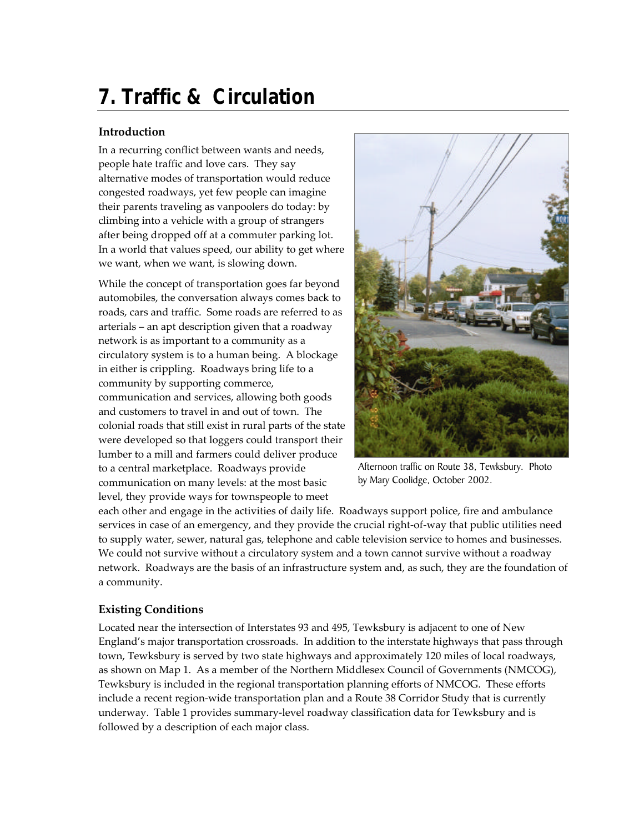# **7. Traffic & Circulation**

## **Introduction**

In a recurring conflict between wants and needs, people hate traffic and love cars. They say alternative modes of transportation would reduce congested roadways, yet few people can imagine their parents traveling as vanpoolers do today: by climbing into a vehicle with a group of strangers after being dropped off at a commuter parking lot. In a world that values speed, our ability to get where we want, when we want, is slowing down.

While the concept of transportation goes far beyond automobiles, the conversation always comes back to roads, cars and traffic. Some roads are referred to as arterials – an apt description given that a roadway network is as important to a community as a circulatory system is to a human being. A blockage in either is crippling. Roadways bring life to a community by supporting commerce, communication and services, allowing both goods and customers to travel in and out of town. The colonial roads that still exist in rural parts of the state were developed so that loggers could transport their lumber to a mill and farmers could deliver produce to a central marketplace. Roadways provide communication on many levels: at the most basic level, they provide ways for townspeople to meet



Afternoon traffic on Route 38, Tewksbury. Photo by Mary Coolidge, October 2002.

each other and engage in the activities of daily life. Roadways support police, fire and ambulance services in case of an emergency, and they provide the crucial right-of-way that public utilities need to supply water, sewer, natural gas, telephone and cable television service to homes and businesses. We could not survive without a circulatory system and a town cannot survive without a roadway network. Roadways are the basis of an infrastructure system and, as such, they are the foundation of a community.

## **Existing Conditions**

Located near the intersection of Interstates 93 and 495, Tewksbury is adjacent to one of New England's major transportation crossroads. In addition to the interstate highways that pass through town, Tewksbury is served by two state highways and approximately 120 miles of local roadways, as shown on Map 1. As a member of the Northern Middlesex Council of Governments (NMCOG), Tewksbury is included in the regional transportation planning efforts of NMCOG. These efforts include a recent region-wide transportation plan and a Route 38 Corridor Study that is currently underway. Table 1 provides summary-level roadway classification data for Tewksbury and is followed by a description of each major class.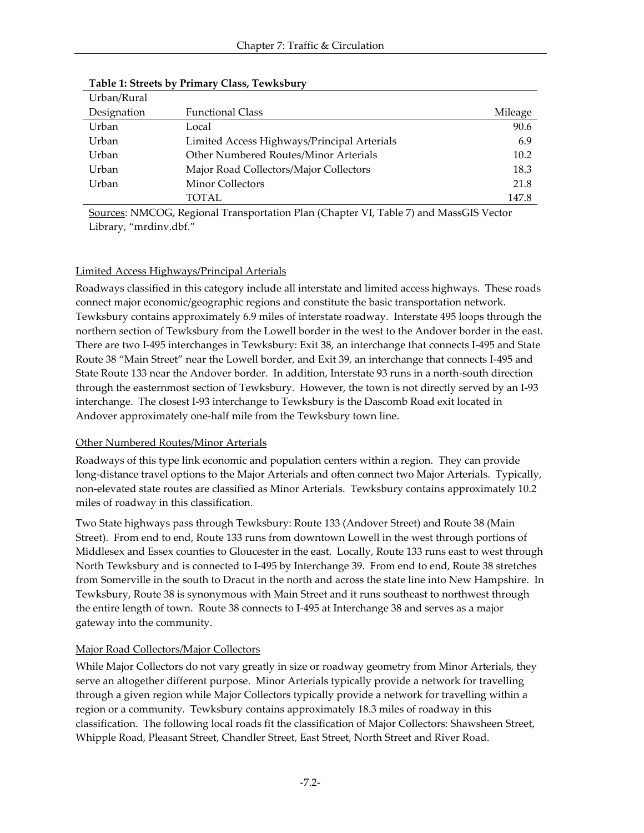| Urban/Rural |                                             |         |
|-------------|---------------------------------------------|---------|
| Designation | <b>Functional Class</b>                     | Mileage |
| Urban       | Local                                       | 90.6    |
| Urban       | Limited Access Highways/Principal Arterials | 6.9     |
| Urban       | Other Numbered Routes/Minor Arterials       | 10.2    |
| Urban       | Major Road Collectors/Major Collectors      | 18.3    |
| Urban       | <b>Minor Collectors</b>                     | 21.8    |
|             | TOTAL                                       | 147.8   |

**Table 1: Streets by Primary Class, Tewksbury**

Sources: NMCOG, Regional Transportation Plan (Chapter VI, Table 7) and MassGIS Vector Library, "mrdinv.dbf."

### Limited Access Highways/Principal Arterials

Roadways classified in this category include all interstate and limited access highways. These roads connect major economic/geographic regions and constitute the basic transportation network. Tewksbury contains approximately 6.9 miles of interstate roadway. Interstate 495 loops through the northern section of Tewksbury from the Lowell border in the west to the Andover border in the east. There are two I-495 interchanges in Tewksbury: Exit 38, an interchange that connects I-495 and State Route 38 "Main Street" near the Lowell border, and Exit 39, an interchange that connects I-495 and State Route 133 near the Andover border. In addition, Interstate 93 runs in a north-south direction through the easternmost section of Tewksbury. However, the town is not directly served by an I-93 interchange. The closest I-93 interchange to Tewksbury is the Dascomb Road exit located in Andover approximately one-half mile from the Tewksbury town line.

#### Other Numbered Routes/Minor Arterials

Roadways of this type link economic and population centers within a region. They can provide long-distance travel options to the Major Arterials and often connect two Major Arterials. Typically, non-elevated state routes are classified as Minor Arterials. Tewksbury contains approximately 10.2 miles of roadway in this classification.

Two State highways pass through Tewksbury: Route 133 (Andover Street) and Route 38 (Main Street). From end to end, Route 133 runs from downtown Lowell in the west through portions of Middlesex and Essex counties to Gloucester in the east. Locally, Route 133 runs east to west through North Tewksbury and is connected to I-495 by Interchange 39. From end to end, Route 38 stretches from Somerville in the south to Dracut in the north and across the state line into New Hampshire. In Tewksbury, Route 38 is synonymous with Main Street and it runs southeast to northwest through the entire length of town. Route 38 connects to I-495 at Interchange 38 and serves as a major gateway into the community.

## Major Road Collectors/Major Collectors

While Major Collectors do not vary greatly in size or roadway geometry from Minor Arterials, they serve an altogether different purpose. Minor Arterials typically provide a network for travelling through a given region while Major Collectors typically provide a network for travelling within a region or a community. Tewksbury contains approximately 18.3 miles of roadway in this classification. The following local roads fit the classification of Major Collectors: Shawsheen Street, Whipple Road, Pleasant Street, Chandler Street, East Street, North Street and River Road.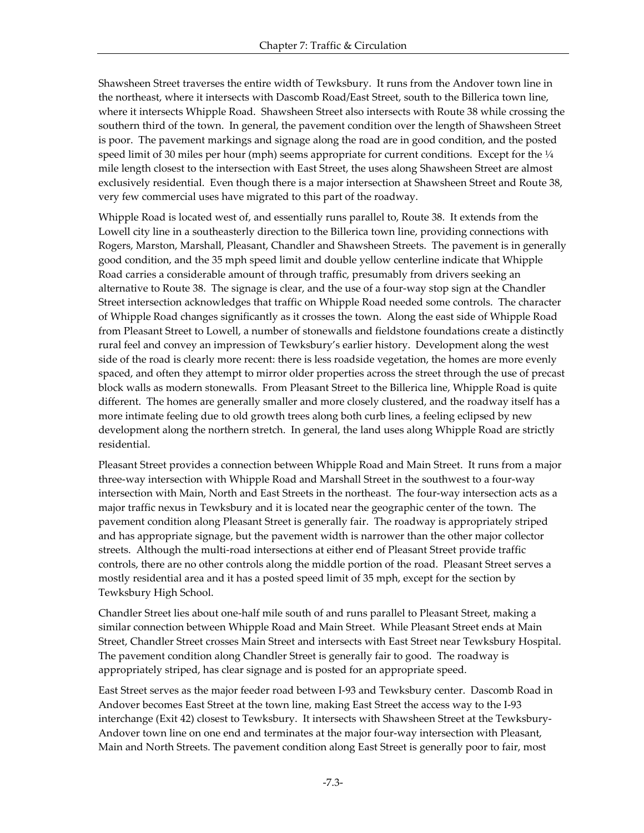Shawsheen Street traverses the entire width of Tewksbury. It runs from the Andover town line in the northeast, where it intersects with Dascomb Road/East Street, south to the Billerica town line, where it intersects Whipple Road. Shawsheen Street also intersects with Route 38 while crossing the southern third of the town. In general, the pavement condition over the length of Shawsheen Street is poor. The pavement markings and signage along the road are in good condition, and the posted speed limit of 30 miles per hour (mph) seems appropriate for current conditions. Except for the  $\frac{1}{4}$ mile length closest to the intersection with East Street, the uses along Shawsheen Street are almost exclusively residential. Even though there is a major intersection at Shawsheen Street and Route 38, very few commercial uses have migrated to this part of the roadway.

Whipple Road is located west of, and essentially runs parallel to, Route 38. It extends from the Lowell city line in a southeasterly direction to the Billerica town line, providing connections with Rogers, Marston, Marshall, Pleasant, Chandler and Shawsheen Streets. The pavement is in generally good condition, and the 35 mph speed limit and double yellow centerline indicate that Whipple Road carries a considerable amount of through traffic, presumably from drivers seeking an alternative to Route 38. The signage is clear, and the use of a four-way stop sign at the Chandler Street intersection acknowledges that traffic on Whipple Road needed some controls. The character of Whipple Road changes significantly as it crosses the town. Along the east side of Whipple Road from Pleasant Street to Lowell, a number of stonewalls and fieldstone foundations create a distinctly rural feel and convey an impression of Tewksbury's earlier history. Development along the west side of the road is clearly more recent: there is less roadside vegetation, the homes are more evenly spaced, and often they attempt to mirror older properties across the street through the use of precast block walls as modern stonewalls. From Pleasant Street to the Billerica line, Whipple Road is quite different. The homes are generally smaller and more closely clustered, and the roadway itself has a more intimate feeling due to old growth trees along both curb lines, a feeling eclipsed by new development along the northern stretch. In general, the land uses along Whipple Road are strictly residential.

Pleasant Street provides a connection between Whipple Road and Main Street. It runs from a major three-way intersection with Whipple Road and Marshall Street in the southwest to a four-way intersection with Main, North and East Streets in the northeast. The four-way intersection acts as a major traffic nexus in Tewksbury and it is located near the geographic center of the town. The pavement condition along Pleasant Street is generally fair. The roadway is appropriately striped and has appropriate signage, but the pavement width is narrower than the other major collector streets. Although the multi-road intersections at either end of Pleasant Street provide traffic controls, there are no other controls along the middle portion of the road. Pleasant Street serves a mostly residential area and it has a posted speed limit of 35 mph, except for the section by Tewksbury High School.

Chandler Street lies about one-half mile south of and runs parallel to Pleasant Street, making a similar connection between Whipple Road and Main Street. While Pleasant Street ends at Main Street, Chandler Street crosses Main Street and intersects with East Street near Tewksbury Hospital. The pavement condition along Chandler Street is generally fair to good. The roadway is appropriately striped, has clear signage and is posted for an appropriate speed.

East Street serves as the major feeder road between I-93 and Tewksbury center. Dascomb Road in Andover becomes East Street at the town line, making East Street the access way to the I-93 interchange (Exit 42) closest to Tewksbury. It intersects with Shawsheen Street at the Tewksbury-Andover town line on one end and terminates at the major four-way intersection with Pleasant, Main and North Streets. The pavement condition along East Street is generally poor to fair, most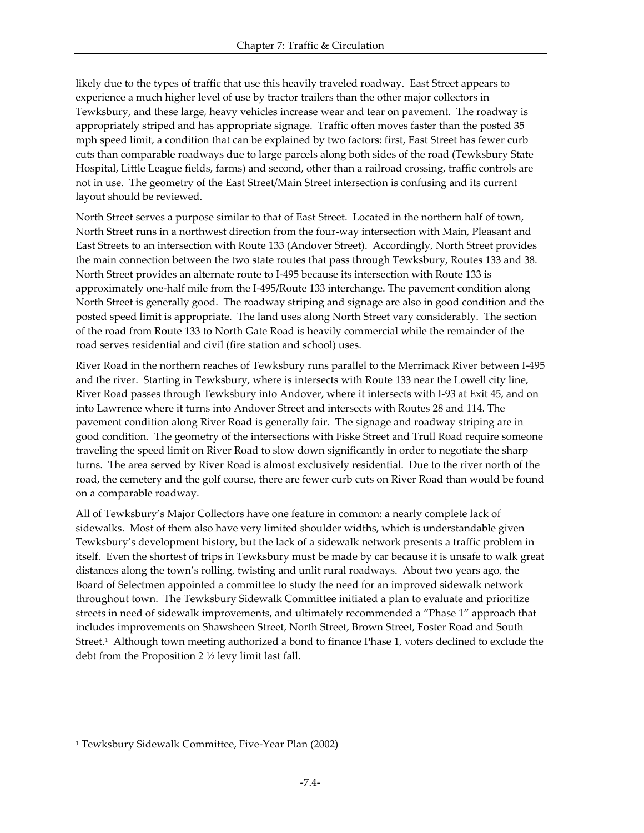likely due to the types of traffic that use this heavily traveled roadway. East Street appears to experience a much higher level of use by tractor trailers than the other major collectors in Tewksbury, and these large, heavy vehicles increase wear and tear on pavement. The roadway is appropriately striped and has appropriate signage. Traffic often moves faster than the posted 35 mph speed limit, a condition that can be explained by two factors: first, East Street has fewer curb cuts than comparable roadways due to large parcels along both sides of the road (Tewksbury State Hospital, Little League fields, farms) and second, other than a railroad crossing, traffic controls are not in use. The geometry of the East Street/Main Street intersection is confusing and its current layout should be reviewed.

North Street serves a purpose similar to that of East Street. Located in the northern half of town, North Street runs in a northwest direction from the four-way intersection with Main, Pleasant and East Streets to an intersection with Route 133 (Andover Street). Accordingly, North Street provides the main connection between the two state routes that pass through Tewksbury, Routes 133 and 38. North Street provides an alternate route to I-495 because its intersection with Route 133 is approximately one-half mile from the I-495/Route 133 interchange. The pavement condition along North Street is generally good. The roadway striping and signage are also in good condition and the posted speed limit is appropriate. The land uses along North Street vary considerably. The section of the road from Route 133 to North Gate Road is heavily commercial while the remainder of the road serves residential and civil (fire station and school) uses.

River Road in the northern reaches of Tewksbury runs parallel to the Merrimack River between I-495 and the river. Starting in Tewksbury, where is intersects with Route 133 near the Lowell city line, River Road passes through Tewksbury into Andover, where it intersects with I-93 at Exit 45, and on into Lawrence where it turns into Andover Street and intersects with Routes 28 and 114. The pavement condition along River Road is generally fair. The signage and roadway striping are in good condition. The geometry of the intersections with Fiske Street and Trull Road require someone traveling the speed limit on River Road to slow down significantly in order to negotiate the sharp turns. The area served by River Road is almost exclusively residential. Due to the river north of the road, the cemetery and the golf course, there are fewer curb cuts on River Road than would be found on a comparable roadway.

All of Tewksbury's Major Collectors have one feature in common: a nearly complete lack of sidewalks. Most of them also have very limited shoulder widths, which is understandable given Tewksbury's development history, but the lack of a sidewalk network presents a traffic problem in itself. Even the shortest of trips in Tewksbury must be made by car because it is unsafe to walk great distances along the town's rolling, twisting and unlit rural roadways. About two years ago, the Board of Selectmen appointed a committee to study the need for an improved sidewalk network throughout town. The Tewksbury Sidewalk Committee initiated a plan to evaluate and prioritize streets in need of sidewalk improvements, and ultimately recommended a "Phase 1" approach that includes improvements on Shawsheen Street, North Street, Brown Street, Foster Road and South Street.<sup>1</sup> Although town meeting authorized a bond to finance Phase 1, voters declined to exclude the debt from the Proposition 2 ½ levy limit last fall.

-

<sup>1</sup> Tewksbury Sidewalk Committee, Five-Year Plan (2002)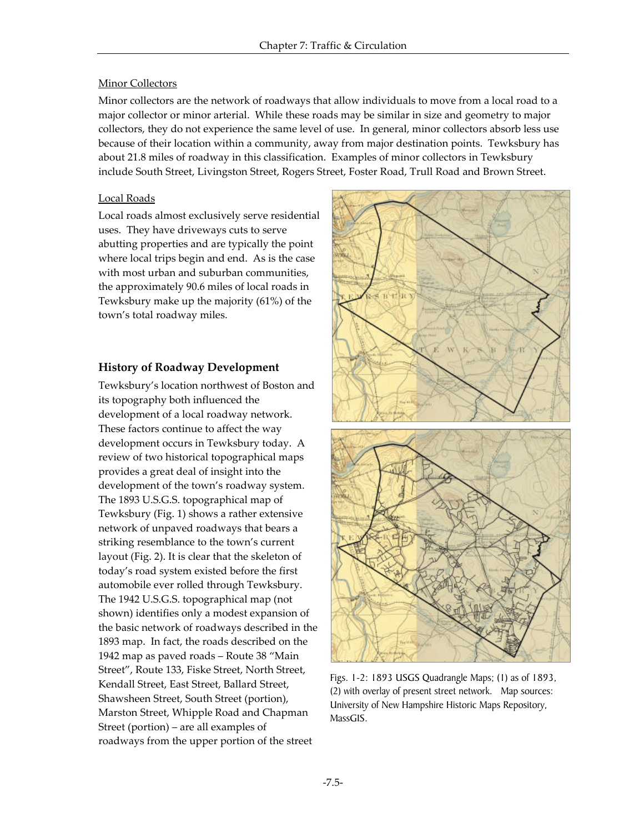#### Minor Collectors

Minor collectors are the network of roadways that allow individuals to move from a local road to a major collector or minor arterial. While these roads may be similar in size and geometry to major collectors, they do not experience the same level of use. In general, minor collectors absorb less use because of their location within a community, away from major destination points. Tewksbury has about 21.8 miles of roadway in this classification. Examples of minor collectors in Tewksbury include South Street, Livingston Street, Rogers Street, Foster Road, Trull Road and Brown Street.

#### Local Roads

Local roads almost exclusively serve residential uses. They have driveways cuts to serve abutting properties and are typically the point where local trips begin and end. As is the case with most urban and suburban communities, the approximately 90.6 miles of local roads in Tewksbury make up the majority (61%) of the town's total roadway miles.

## **History of Roadway Development**

Tewksbury's location northwest of Boston and its topography both influenced the development of a local roadway network. These factors continue to affect the way development occurs in Tewksbury today. A review of two historical topographical maps provides a great deal of insight into the development of the town's roadway system. The 1893 U.S.G.S. topographical map of Tewksbury (Fig. 1) shows a rather extensive network of unpaved roadways that bears a striking resemblance to the town's current layout (Fig. 2). It is clear that the skeleton of today's road system existed before the first automobile ever rolled through Tewksbury. The 1942 U.S.G.S. topographical map (not shown) identifies only a modest expansion of the basic network of roadways described in the 1893 map. In fact, the roads described on the 1942 map as paved roads – Route 38 "Main Street", Route 133, Fiske Street, North Street, Kendall Street, East Street, Ballard Street, Shawsheen Street, South Street (portion), Marston Street, Whipple Road and Chapman Street (portion) – are all examples of roadways from the upper portion of the street



Figs. 1-2: 1893 USGS Quadrangle Maps; (1) as of 1893, (2) with overlay of present street network. Map sources: University of New Hampshire Historic Maps Repository, MassGIS.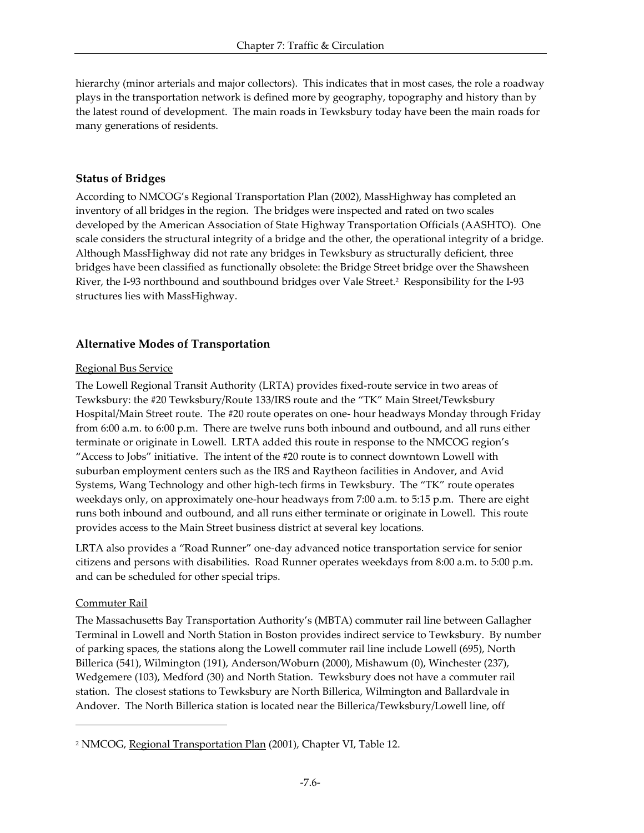hierarchy (minor arterials and major collectors). This indicates that in most cases, the role a roadway plays in the transportation network is defined more by geography, topography and history than by the latest round of development. The main roads in Tewksbury today have been the main roads for many generations of residents.

#### **Status of Bridges**

According to NMCOG's Regional Transportation Plan (2002), MassHighway has completed an inventory of all bridges in the region. The bridges were inspected and rated on two scales developed by the American Association of State Highway Transportation Officials (AASHTO). One scale considers the structural integrity of a bridge and the other, the operational integrity of a bridge. Although MassHighway did not rate any bridges in Tewksbury as structurally deficient, three bridges have been classified as functionally obsolete: the Bridge Street bridge over the Shawsheen River, the I-93 northbound and southbound bridges over Vale Street.<sup>2</sup> Responsibility for the I-93 structures lies with MassHighway.

## **Alternative Modes of Transportation**

#### Regional Bus Service

The Lowell Regional Transit Authority (LRTA) provides fixed-route service in two areas of Tewksbury: the #20 Tewksbury/Route 133/IRS route and the "TK" Main Street/Tewksbury Hospital/Main Street route. The #20 route operates on one- hour headways Monday through Friday from 6:00 a.m. to 6:00 p.m. There are twelve runs both inbound and outbound, and all runs either terminate or originate in Lowell. LRTA added this route in response to the NMCOG region's "Access to Jobs" initiative. The intent of the #20 route is to connect downtown Lowell with suburban employment centers such as the IRS and Raytheon facilities in Andover, and Avid Systems, Wang Technology and other high-tech firms in Tewksbury. The "TK" route operates weekdays only, on approximately one-hour headways from 7:00 a.m. to 5:15 p.m. There are eight runs both inbound and outbound, and all runs either terminate or originate in Lowell. This route provides access to the Main Street business district at several key locations.

LRTA also provides a "Road Runner" one-day advanced notice transportation service for senior citizens and persons with disabilities. Road Runner operates weekdays from 8:00 a.m. to 5:00 p.m. and can be scheduled for other special trips.

#### Commuter Rail

 $\overline{a}$ 

The Massachusetts Bay Transportation Authority's (MBTA) commuter rail line between Gallagher Terminal in Lowell and North Station in Boston provides indirect service to Tewksbury. By number of parking spaces, the stations along the Lowell commuter rail line include Lowell (695), North Billerica (541), Wilmington (191), Anderson/Woburn (2000), Mishawum (0), Winchester (237), Wedgemere (103), Medford (30) and North Station. Tewksbury does not have a commuter rail station. The closest stations to Tewksbury are North Billerica, Wilmington and Ballardvale in Andover. The North Billerica station is located near the Billerica/Tewksbury/Lowell line, off

<sup>&</sup>lt;sup>2</sup> NMCOG, <u>Regional Transportation Plan</u> (2001), Chapter VI, Table 12.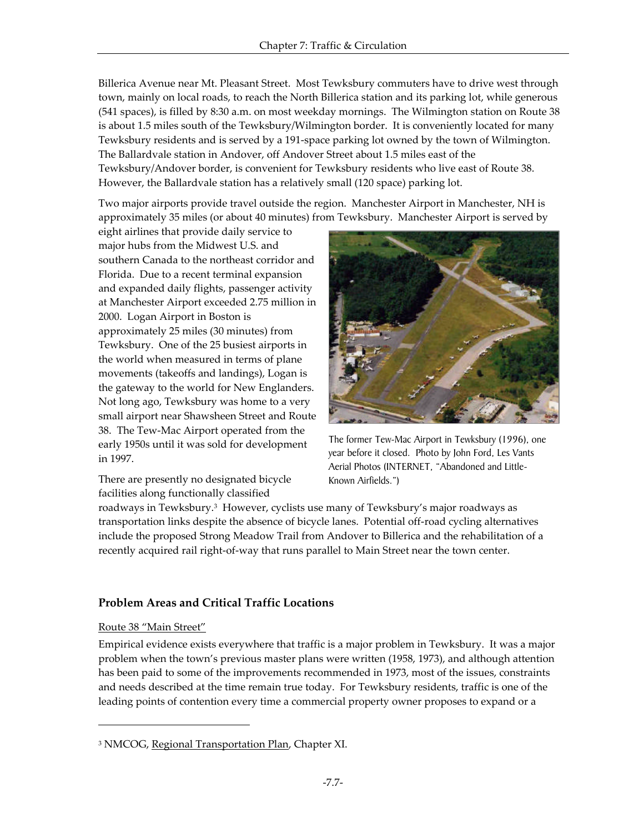Billerica Avenue near Mt. Pleasant Street. Most Tewksbury commuters have to drive west through town, mainly on local roads, to reach the North Billerica station and its parking lot, while generous (541 spaces), is filled by 8:30 a.m. on most weekday mornings. The Wilmington station on Route 38 is about 1.5 miles south of the Tewksbury/Wilmington border. It is conveniently located for many Tewksbury residents and is served by a 191-space parking lot owned by the town of Wilmington. The Ballardvale station in Andover, off Andover Street about 1.5 miles east of the Tewksbury/Andover border, is convenient for Tewksbury residents who live east of Route 38. However, the Ballardvale station has a relatively small (120 space) parking lot.

Two major airports provide travel outside the region. Manchester Airport in Manchester, NH is approximately 35 miles (or about 40 minutes) from Tewksbury. Manchester Airport is served by

eight airlines that provide daily service to major hubs from the Midwest U.S. and southern Canada to the northeast corridor and Florida. Due to a recent terminal expansion and expanded daily flights, passenger activity at Manchester Airport exceeded 2.75 million in 2000. Logan Airport in Boston is approximately 25 miles (30 minutes) from Tewksbury. One of the 25 busiest airports in the world when measured in terms of plane movements (takeoffs and landings), Logan is the gateway to the world for New Englanders. Not long ago, Tewksbury was home to a very small airport near Shawsheen Street and Route 38. The Tew-Mac Airport operated from the early 1950s until it was sold for development in 1997.

There are presently no designated bicycle facilities along functionally classified



The former Tew-Mac Airport in Tewksbury (1996), one year before it closed. Photo by John Ford, Les Vants Aerial Photos (INTERNET, "Abandoned and Little-Known Airfields.")

roadways in Tewksbury.<sup>3</sup> However, cyclists use many of Tewksbury's major roadways as transportation links despite the absence of bicycle lanes. Potential off-road cycling alternatives include the proposed Strong Meadow Trail from Andover to Billerica and the rehabilitation of a recently acquired rail right-of-way that runs parallel to Main Street near the town center.

## **Problem Areas and Critical Traffic Locations**

#### Route 38 "Main Street"

-

Empirical evidence exists everywhere that traffic is a major problem in Tewksbury. It was a major problem when the town's previous master plans were written (1958, 1973), and although attention has been paid to some of the improvements recommended in 1973, most of the issues, constraints and needs described at the time remain true today. For Tewksbury residents, traffic is one of the leading points of contention every time a commercial property owner proposes to expand or a

<sup>&</sup>lt;sup>3</sup> NMCOG, <u>Regional Transportation Plan</u>, Chapter XI.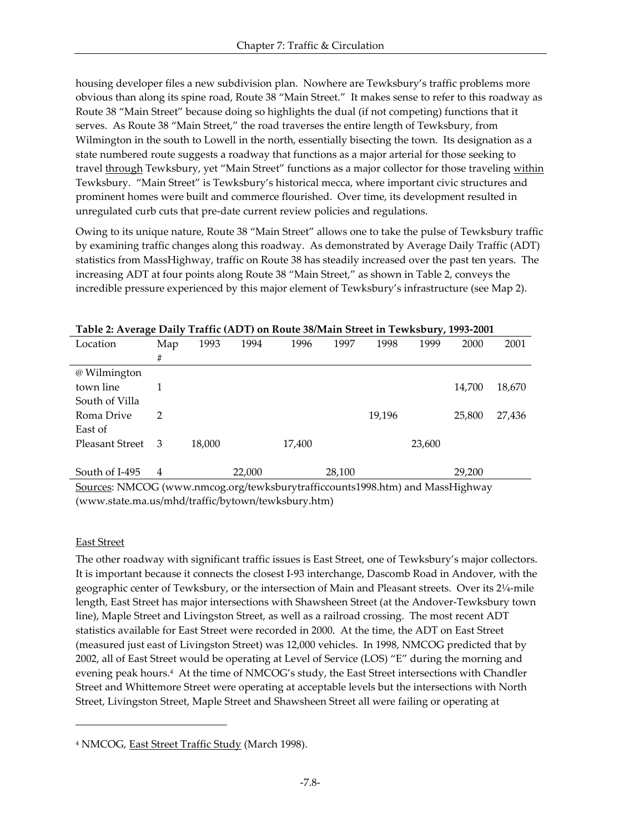housing developer files a new subdivision plan. Nowhere are Tewksbury's traffic problems more obvious than along its spine road, Route 38 "Main Street." It makes sense to refer to this roadway as Route 38 "Main Street" because doing so highlights the dual (if not competing) functions that it serves. As Route 38 "Main Street," the road traverses the entire length of Tewksbury, from Wilmington in the south to Lowell in the north, essentially bisecting the town. Its designation as a state numbered route suggests a roadway that functions as a major arterial for those seeking to travel through Tewksbury, yet "Main Street" functions as a major collector for those traveling within Tewksbury. "Main Street" is Tewksbury's historical mecca, where important civic structures and prominent homes were built and commerce flourished. Over time, its development resulted in unregulated curb cuts that pre-date current review policies and regulations.

Owing to its unique nature, Route 38 "Main Street" allows one to take the pulse of Tewksbury traffic by examining traffic changes along this roadway. As demonstrated by Average Daily Traffic (ADT) statistics from MassHighway, traffic on Route 38 has steadily increased over the past ten years. The increasing ADT at four points along Route 38 "Main Street," as shown in Table 2, conveys the incredible pressure experienced by this major element of Tewksbury's infrastructure (see Map 2).

| $\sigma$               |     |        |        |        |        |        | $\cdot$ |        |        |
|------------------------|-----|--------|--------|--------|--------|--------|---------|--------|--------|
| Location               | Map | 1993   | 1994   | 1996   | 1997   | 1998   | 1999    | 2000   | 2001   |
|                        | #   |        |        |        |        |        |         |        |        |
| @ Wilmington           |     |        |        |        |        |        |         |        |        |
| town line              |     |        |        |        |        |        |         | 14,700 | 18,670 |
| South of Villa         |     |        |        |        |        |        |         |        |        |
| Roma Drive             | 2   |        |        |        |        | 19,196 |         | 25,800 | 27,436 |
| East of                |     |        |        |        |        |        |         |        |        |
| <b>Pleasant Street</b> | -3  | 18,000 |        | 17,400 |        |        | 23,600  |        |        |
|                        |     |        |        |        |        |        |         |        |        |
| South of I-495         | 4   |        | 22,000 |        | 28,100 |        |         | 29,200 |        |

#### **Table 2: Average Daily Traffic (ADT) on Route 38/Main Street in Tewksbury, 1993-2001**

Sources: NMCOG (www.nmcog.org/tewksburytrafficcounts1998.htm) and MassHighway (www.state.ma.us/mhd/traffic/bytown/tewksbury.htm)

#### East Street

-

The other roadway with significant traffic issues is East Street, one of Tewksbury's major collectors. It is important because it connects the closest I-93 interchange, Dascomb Road in Andover, with the geographic center of Tewksbury, or the intersection of Main and Pleasant streets. Over its 2¼-mile length, East Street has major intersections with Shawsheen Street (at the Andover-Tewksbury town line), Maple Street and Livingston Street, as well as a railroad crossing. The most recent ADT statistics available for East Street were recorded in 2000. At the time, the ADT on East Street (measured just east of Livingston Street) was 12,000 vehicles. In 1998, NMCOG predicted that by 2002, all of East Street would be operating at Level of Service (LOS) "E" during the morning and evening peak hours.<sup>4</sup> At the time of NMCOG's study, the East Street intersections with Chandler Street and Whittemore Street were operating at acceptable levels but the intersections with North Street, Livingston Street, Maple Street and Shawsheen Street all were failing or operating at

<sup>&</sup>lt;sup>4</sup> NMCOG, <u>East Street Traffic Study</u> (March 1998).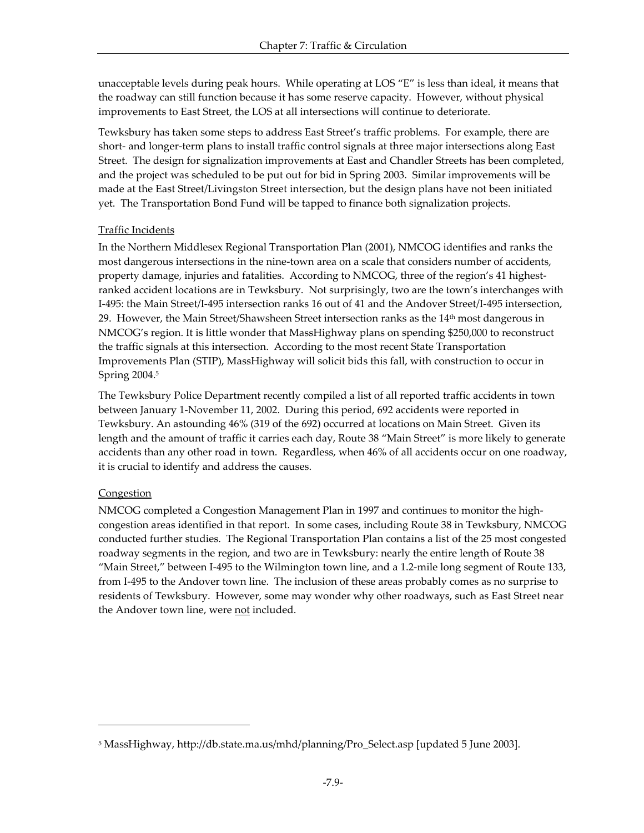unacceptable levels during peak hours. While operating at LOS "E" is less than ideal, it means that the roadway can still function because it has some reserve capacity. However, without physical improvements to East Street, the LOS at all intersections will continue to deteriorate.

Tewksbury has taken some steps to address East Street's traffic problems. For example, there are short- and longer-term plans to install traffic control signals at three major intersections along East Street. The design for signalization improvements at East and Chandler Streets has been completed, and the project was scheduled to be put out for bid in Spring 2003. Similar improvements will be made at the East Street/Livingston Street intersection, but the design plans have not been initiated yet. The Transportation Bond Fund will be tapped to finance both signalization projects.

## Traffic Incidents

In the Northern Middlesex Regional Transportation Plan (2001), NMCOG identifies and ranks the most dangerous intersections in the nine-town area on a scale that considers number of accidents, property damage, injuries and fatalities. According to NMCOG, three of the region's 41 highestranked accident locations are in Tewksbury. Not surprisingly, two are the town's interchanges with I-495: the Main Street/I-495 intersection ranks 16 out of 41 and the Andover Street/I-495 intersection, 29. However, the Main Street/Shawsheen Street intersection ranks as the  $14<sup>th</sup>$  most dangerous in NMCOG's region. It is little wonder that MassHighway plans on spending \$250,000 to reconstruct the traffic signals at this intersection. According to the most recent State Transportation Improvements Plan (STIP), MassHighway will solicit bids this fall, with construction to occur in Spring 2004.<sup>5</sup>

The Tewksbury Police Department recently compiled a list of all reported traffic accidents in town between January 1-November 11, 2002. During this period, 692 accidents were reported in Tewksbury. An astounding 46% (319 of the 692) occurred at locations on Main Street. Given its length and the amount of traffic it carries each day, Route 38 "Main Street" is more likely to generate accidents than any other road in town. Regardless, when 46% of all accidents occur on one roadway, it is crucial to identify and address the causes.

## **Congestion**

-

NMCOG completed a Congestion Management Plan in 1997 and continues to monitor the highcongestion areas identified in that report. In some cases, including Route 38 in Tewksbury, NMCOG conducted further studies. The Regional Transportation Plan contains a list of the 25 most congested roadway segments in the region, and two are in Tewksbury: nearly the entire length of Route 38 "Main Street," between I-495 to the Wilmington town line, and a 1.2-mile long segment of Route 133, from I-495 to the Andover town line. The inclusion of these areas probably comes as no surprise to residents of Tewksbury. However, some may wonder why other roadways, such as East Street near the Andover town line, were not included.

<sup>5</sup> MassHighway, http://db.state.ma.us/mhd/planning/Pro\_Select.asp [updated 5 June 2003].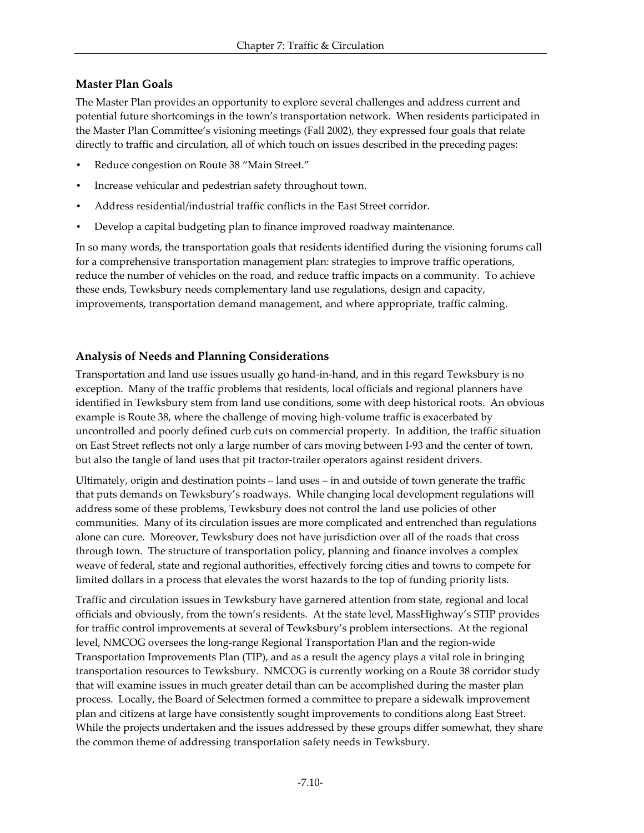## **Master Plan Goals**

The Master Plan provides an opportunity to explore several challenges and address current and potential future shortcomings in the town's transportation network. When residents participated in the Master Plan Committee's visioning meetings (Fall 2002), they expressed four goals that relate directly to traffic and circulation, all of which touch on issues described in the preceding pages:

- Reduce congestion on Route 38 "Main Street."
- Increase vehicular and pedestrian safety throughout town.
- Address residential/industrial traffic conflicts in the East Street corridor.
- Develop a capital budgeting plan to finance improved roadway maintenance.

In so many words, the transportation goals that residents identified during the visioning forums call for a comprehensive transportation management plan: strategies to improve traffic operations, reduce the number of vehicles on the road, and reduce traffic impacts on a community. To achieve these ends, Tewksbury needs complementary land use regulations, design and capacity, improvements, transportation demand management, and where appropriate, traffic calming.

## **Analysis of Needs and Planning Considerations**

Transportation and land use issues usually go hand-in-hand, and in this regard Tewksbury is no exception. Many of the traffic problems that residents, local officials and regional planners have identified in Tewksbury stem from land use conditions, some with deep historical roots. An obvious example is Route 38, where the challenge of moving high-volume traffic is exacerbated by uncontrolled and poorly defined curb cuts on commercial property. In addition, the traffic situation on East Street reflects not only a large number of cars moving between I-93 and the center of town, but also the tangle of land uses that pit tractor-trailer operators against resident drivers.

Ultimately, origin and destination points – land uses – in and outside of town generate the traffic that puts demands on Tewksbury's roadways. While changing local development regulations will address some of these problems, Tewksbury does not control the land use policies of other communities. Many of its circulation issues are more complicated and entrenched than regulations alone can cure. Moreover, Tewksbury does not have jurisdiction over all of the roads that cross through town. The structure of transportation policy, planning and finance involves a complex weave of federal, state and regional authorities, effectively forcing cities and towns to compete for limited dollars in a process that elevates the worst hazards to the top of funding priority lists.

Traffic and circulation issues in Tewksbury have garnered attention from state, regional and local officials and obviously, from the town's residents. At the state level, MassHighway's STIP provides for traffic control improvements at several of Tewksbury's problem intersections. At the regional level, NMCOG oversees the long-range Regional Transportation Plan and the region-wide Transportation Improvements Plan (TIP), and as a result the agency plays a vital role in bringing transportation resources to Tewksbury. NMCOG is currently working on a Route 38 corridor study that will examine issues in much greater detail than can be accomplished during the master plan process. Locally, the Board of Selectmen formed a committee to prepare a sidewalk improvement plan and citizens at large have consistently sought improvements to conditions along East Street. While the projects undertaken and the issues addressed by these groups differ somewhat, they share the common theme of addressing transportation safety needs in Tewksbury.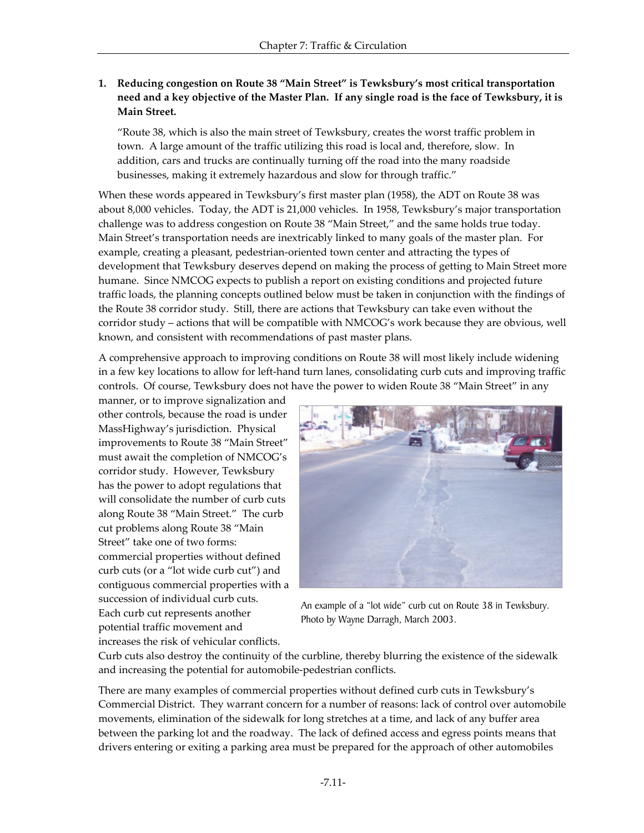## **1. Reducing congestion on Route 38 "Main Street" is Tewksbury's most critical transportation need and a key objective of the Master Plan. If any single road is the face of Tewksbury, it is Main Street.**

"Route 38, which is also the main street of Tewksbury, creates the worst traffic problem in town. A large amount of the traffic utilizing this road is local and, therefore, slow. In addition, cars and trucks are continually turning off the road into the many roadside businesses, making it extremely hazardous and slow for through traffic."

When these words appeared in Tewksbury's first master plan (1958), the ADT on Route 38 was about 8,000 vehicles. Today, the ADT is 21,000 vehicles. In 1958, Tewksbury's major transportation challenge was to address congestion on Route 38 "Main Street," and the same holds true today. Main Street's transportation needs are inextricably linked to many goals of the master plan. For example, creating a pleasant, pedestrian-oriented town center and attracting the types of development that Tewksbury deserves depend on making the process of getting to Main Street more humane. Since NMCOG expects to publish a report on existing conditions and projected future traffic loads, the planning concepts outlined below must be taken in conjunction with the findings of the Route 38 corridor study. Still, there are actions that Tewksbury can take even without the corridor study – actions that will be compatible with NMCOG's work because they are obvious, well known, and consistent with recommendations of past master plans.

A comprehensive approach to improving conditions on Route 38 will most likely include widening in a few key locations to allow for left-hand turn lanes, consolidating curb cuts and improving traffic controls. Of course, Tewksbury does not have the power to widen Route 38 "Main Street" in any

manner, or to improve signalization and other controls, because the road is under MassHighway's jurisdiction. Physical improvements to Route 38 "Main Street" must await the completion of NMCOG's corridor study. However, Tewksbury has the power to adopt regulations that will consolidate the number of curb cuts along Route 38 "Main Street." The curb cut problems along Route 38 "Main Street" take one of two forms: commercial properties without defined curb cuts (or a "lot wide curb cut") and contiguous commercial properties with a succession of individual curb cuts. Each curb cut represents another potential traffic movement and increases the risk of vehicular conflicts.



An example of a "lot wide" curb cut on Route 38 in Tewksbury. Photo by Wayne Darragh, March 2003.

Curb cuts also destroy the continuity of the curbline, thereby blurring the existence of the sidewalk and increasing the potential for automobile-pedestrian conflicts.

There are many examples of commercial properties without defined curb cuts in Tewksbury's Commercial District. They warrant concern for a number of reasons: lack of control over automobile movements, elimination of the sidewalk for long stretches at a time, and lack of any buffer area between the parking lot and the roadway. The lack of defined access and egress points means that drivers entering or exiting a parking area must be prepared for the approach of other automobiles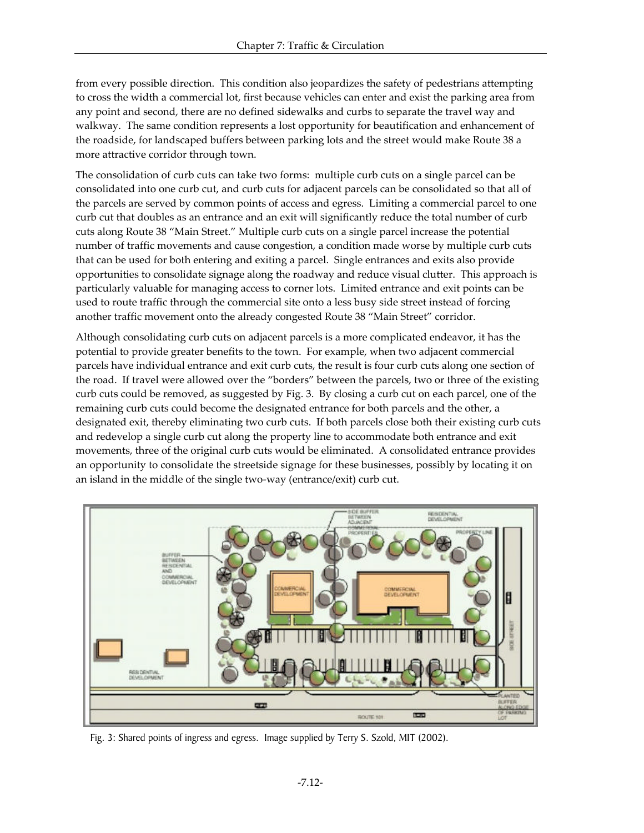from every possible direction. This condition also jeopardizes the safety of pedestrians attempting to cross the width a commercial lot, first because vehicles can enter and exist the parking area from any point and second, there are no defined sidewalks and curbs to separate the travel way and walkway. The same condition represents a lost opportunity for beautification and enhancement of the roadside, for landscaped buffers between parking lots and the street would make Route 38 a more attractive corridor through town.

The consolidation of curb cuts can take two forms: multiple curb cuts on a single parcel can be consolidated into one curb cut, and curb cuts for adjacent parcels can be consolidated so that all of the parcels are served by common points of access and egress. Limiting a commercial parcel to one curb cut that doubles as an entrance and an exit will significantly reduce the total number of curb cuts along Route 38 "Main Street." Multiple curb cuts on a single parcel increase the potential number of traffic movements and cause congestion, a condition made worse by multiple curb cuts that can be used for both entering and exiting a parcel. Single entrances and exits also provide opportunities to consolidate signage along the roadway and reduce visual clutter. This approach is particularly valuable for managing access to corner lots. Limited entrance and exit points can be used to route traffic through the commercial site onto a less busy side street instead of forcing another traffic movement onto the already congested Route 38 "Main Street" corridor.

Although consolidating curb cuts on adjacent parcels is a more complicated endeavor, it has the potential to provide greater benefits to the town. For example, when two adjacent commercial parcels have individual entrance and exit curb cuts, the result is four curb cuts along one section of the road. If travel were allowed over the "borders" between the parcels, two or three of the existing curb cuts could be removed, as suggested by Fig. 3. By closing a curb cut on each parcel, one of the remaining curb cuts could become the designated entrance for both parcels and the other, a designated exit, thereby eliminating two curb cuts. If both parcels close both their existing curb cuts and redevelop a single curb cut along the property line to accommodate both entrance and exit movements, three of the original curb cuts would be eliminated. A consolidated entrance provides an opportunity to consolidate the streetside signage for these businesses, possibly by locating it on an island in the middle of the single two-way (entrance/exit) curb cut.



Fig. 3: Shared points of ingress and egress. Image supplied by Terry S. Szold, MIT (2002).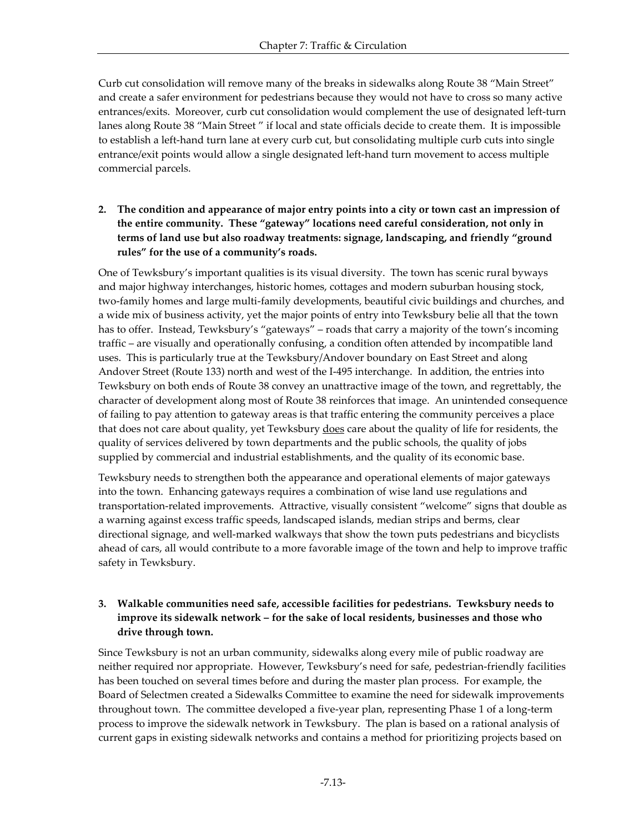Curb cut consolidation will remove many of the breaks in sidewalks along Route 38 "Main Street" and create a safer environment for pedestrians because they would not have to cross so many active entrances/exits. Moreover, curb cut consolidation would complement the use of designated left-turn lanes along Route 38 "Main Street " if local and state officials decide to create them. It is impossible to establish a left-hand turn lane at every curb cut, but consolidating multiple curb cuts into single entrance/exit points would allow a single designated left-hand turn movement to access multiple commercial parcels.

**2. The condition and appearance of major entry points into a city or town cast an impression of the entire community. These "gateway" locations need careful consideration, not only in terms of land use but also roadway treatments: signage, landscaping, and friendly "ground rules" for the use of a community's roads.**

One of Tewksbury's important qualities is its visual diversity. The town has scenic rural byways and major highway interchanges, historic homes, cottages and modern suburban housing stock, two-family homes and large multi-family developments, beautiful civic buildings and churches, and a wide mix of business activity, yet the major points of entry into Tewksbury belie all that the town has to offer. Instead, Tewksbury's "gateways" – roads that carry a majority of the town's incoming traffic – are visually and operationally confusing, a condition often attended by incompatible land uses. This is particularly true at the Tewksbury/Andover boundary on East Street and along Andover Street (Route 133) north and west of the I-495 interchange. In addition, the entries into Tewksbury on both ends of Route 38 convey an unattractive image of the town, and regrettably, the character of development along most of Route 38 reinforces that image. An unintended consequence of failing to pay attention to gateway areas is that traffic entering the community perceives a place that does not care about quality, yet Tewksbury does care about the quality of life for residents, the quality of services delivered by town departments and the public schools, the quality of jobs supplied by commercial and industrial establishments, and the quality of its economic base.

Tewksbury needs to strengthen both the appearance and operational elements of major gateways into the town. Enhancing gateways requires a combination of wise land use regulations and transportation-related improvements. Attractive, visually consistent "welcome" signs that double as a warning against excess traffic speeds, landscaped islands, median strips and berms, clear directional signage, and well-marked walkways that show the town puts pedestrians and bicyclists ahead of cars, all would contribute to a more favorable image of the town and help to improve traffic safety in Tewksbury.

## **3. Walkable communities need safe, accessible facilities for pedestrians. Tewksbury needs to improve its sidewalk network – for the sake of local residents, businesses and those who drive through town.**

Since Tewksbury is not an urban community, sidewalks along every mile of public roadway are neither required nor appropriate. However, Tewksbury's need for safe, pedestrian-friendly facilities has been touched on several times before and during the master plan process. For example, the Board of Selectmen created a Sidewalks Committee to examine the need for sidewalk improvements throughout town. The committee developed a five-year plan, representing Phase 1 of a long-term process to improve the sidewalk network in Tewksbury. The plan is based on a rational analysis of current gaps in existing sidewalk networks and contains a method for prioritizing projects based on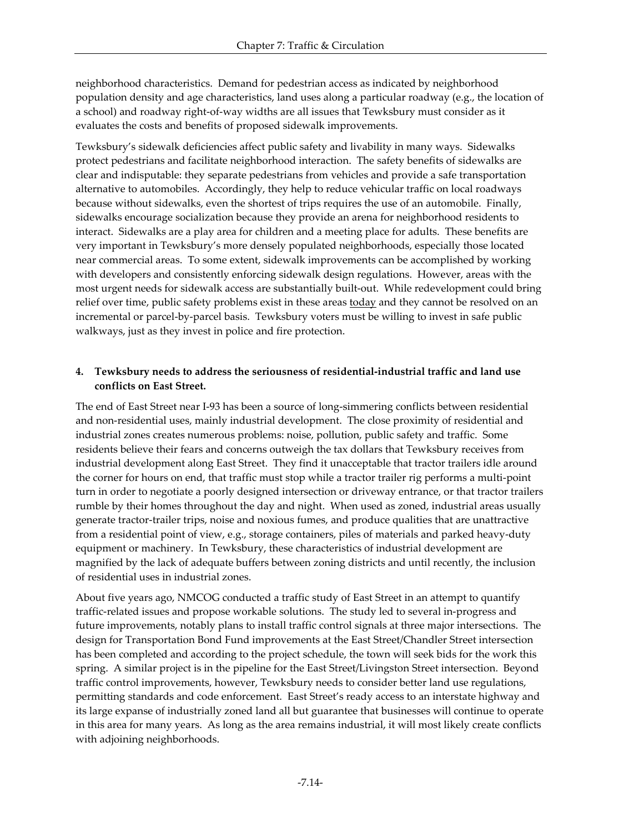neighborhood characteristics. Demand for pedestrian access as indicated by neighborhood population density and age characteristics, land uses along a particular roadway (e.g., the location of a school) and roadway right-of-way widths are all issues that Tewksbury must consider as it evaluates the costs and benefits of proposed sidewalk improvements.

Tewksbury's sidewalk deficiencies affect public safety and livability in many ways. Sidewalks protect pedestrians and facilitate neighborhood interaction. The safety benefits of sidewalks are clear and indisputable: they separate pedestrians from vehicles and provide a safe transportation alternative to automobiles. Accordingly, they help to reduce vehicular traffic on local roadways because without sidewalks, even the shortest of trips requires the use of an automobile. Finally, sidewalks encourage socialization because they provide an arena for neighborhood residents to interact. Sidewalks are a play area for children and a meeting place for adults. These benefits are very important in Tewksbury's more densely populated neighborhoods, especially those located near commercial areas. To some extent, sidewalk improvements can be accomplished by working with developers and consistently enforcing sidewalk design regulations. However, areas with the most urgent needs for sidewalk access are substantially built-out. While redevelopment could bring relief over time, public safety problems exist in these areas **today** and they cannot be resolved on an incremental or parcel-by-parcel basis. Tewksbury voters must be willing to invest in safe public walkways, just as they invest in police and fire protection.

#### **4. Tewksbury needs to address the seriousness of residential-industrial traffic and land use conflicts on East Street.**

The end of East Street near I-93 has been a source of long-simmering conflicts between residential and non-residential uses, mainly industrial development. The close proximity of residential and industrial zones creates numerous problems: noise, pollution, public safety and traffic. Some residents believe their fears and concerns outweigh the tax dollars that Tewksbury receives from industrial development along East Street. They find it unacceptable that tractor trailers idle around the corner for hours on end, that traffic must stop while a tractor trailer rig performs a multi-point turn in order to negotiate a poorly designed intersection or driveway entrance, or that tractor trailers rumble by their homes throughout the day and night. When used as zoned, industrial areas usually generate tractor-trailer trips, noise and noxious fumes, and produce qualities that are unattractive from a residential point of view, e.g., storage containers, piles of materials and parked heavy-duty equipment or machinery. In Tewksbury, these characteristics of industrial development are magnified by the lack of adequate buffers between zoning districts and until recently, the inclusion of residential uses in industrial zones.

About five years ago, NMCOG conducted a traffic study of East Street in an attempt to quantify traffic-related issues and propose workable solutions. The study led to several in-progress and future improvements, notably plans to install traffic control signals at three major intersections. The design for Transportation Bond Fund improvements at the East Street/Chandler Street intersection has been completed and according to the project schedule, the town will seek bids for the work this spring. A similar project is in the pipeline for the East Street/Livingston Street intersection. Beyond traffic control improvements, however, Tewksbury needs to consider better land use regulations, permitting standards and code enforcement. East Street's ready access to an interstate highway and its large expanse of industrially zoned land all but guarantee that businesses will continue to operate in this area for many years. As long as the area remains industrial, it will most likely create conflicts with adjoining neighborhoods.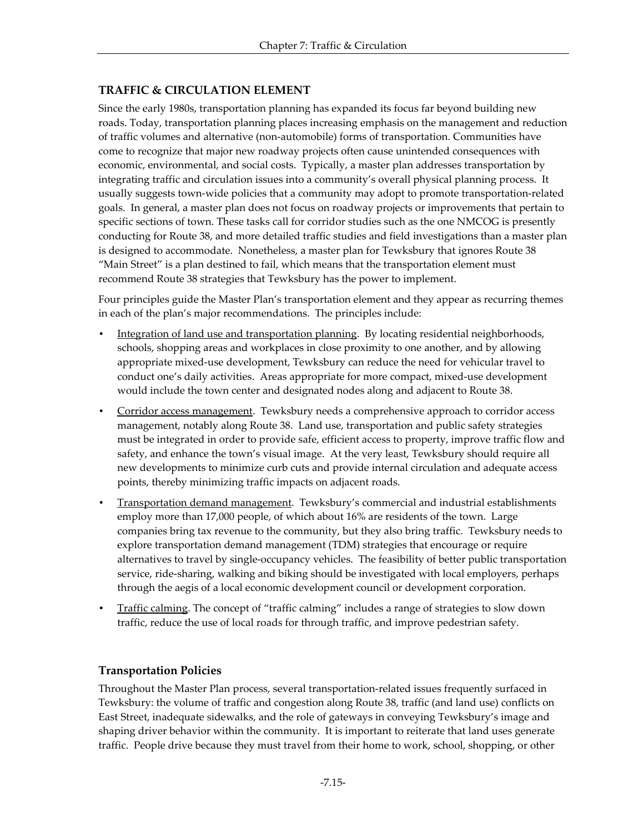# **TRAFFIC & CIRCULATION ELEMENT**

Since the early 1980s, transportation planning has expanded its focus far beyond building new roads. Today, transportation planning places increasing emphasis on the management and reduction of traffic volumes and alternative (non-automobile) forms of transportation. Communities have come to recognize that major new roadway projects often cause unintended consequences with economic, environmental, and social costs. Typically, a master plan addresses transportation by integrating traffic and circulation issues into a community's overall physical planning process. It usually suggests town-wide policies that a community may adopt to promote transportation-related goals. In general, a master plan does not focus on roadway projects or improvements that pertain to specific sections of town. These tasks call for corridor studies such as the one NMCOG is presently conducting for Route 38, and more detailed traffic studies and field investigations than a master plan is designed to accommodate. Nonetheless, a master plan for Tewksbury that ignores Route 38 "Main Street" is a plan destined to fail, which means that the transportation element must recommend Route 38 strategies that Tewksbury has the power to implement.

Four principles guide the Master Plan's transportation element and they appear as recurring themes in each of the plan's major recommendations. The principles include:

- Integration of land use and transportation planning. By locating residential neighborhoods, schools, shopping areas and workplaces in close proximity to one another, and by allowing appropriate mixed-use development, Tewksbury can reduce the need for vehicular travel to conduct one's daily activities. Areas appropriate for more compact, mixed-use development would include the town center and designated nodes along and adjacent to Route 38.
- Corridor access management. Tewksbury needs a comprehensive approach to corridor access management, notably along Route 38. Land use, transportation and public safety strategies must be integrated in order to provide safe, efficient access to property, improve traffic flow and safety, and enhance the town's visual image. At the very least, Tewksbury should require all new developments to minimize curb cuts and provide internal circulation and adequate access points, thereby minimizing traffic impacts on adjacent roads.
- Transportation demand management. Tewksbury's commercial and industrial establishments employ more than 17,000 people, of which about 16% are residents of the town. Large companies bring tax revenue to the community, but they also bring traffic. Tewksbury needs to explore transportation demand management (TDM) strategies that encourage or require alternatives to travel by single-occupancy vehicles. The feasibility of better public transportation service, ride-sharing, walking and biking should be investigated with local employers, perhaps through the aegis of a local economic development council or development corporation.
- Traffic calming. The concept of "traffic calming" includes a range of strategies to slow down traffic, reduce the use of local roads for through traffic, and improve pedestrian safety.

## **Transportation Policies**

Throughout the Master Plan process, several transportation-related issues frequently surfaced in Tewksbury: the volume of traffic and congestion along Route 38, traffic (and land use) conflicts on East Street, inadequate sidewalks, and the role of gateways in conveying Tewksbury's image and shaping driver behavior within the community. It is important to reiterate that land uses generate traffic. People drive because they must travel from their home to work, school, shopping, or other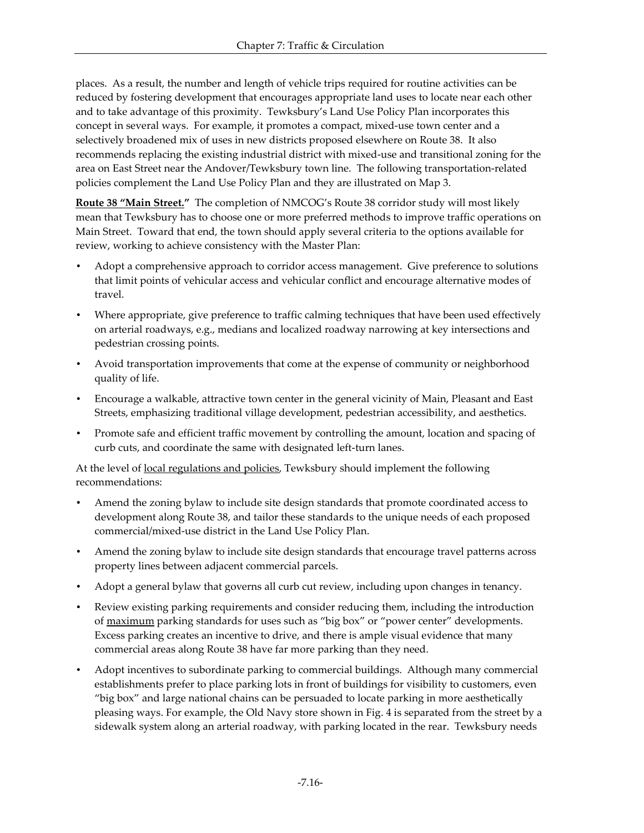places. As a result, the number and length of vehicle trips required for routine activities can be reduced by fostering development that encourages appropriate land uses to locate near each other and to take advantage of this proximity. Tewksbury's Land Use Policy Plan incorporates this concept in several ways. For example, it promotes a compact, mixed-use town center and a selectively broadened mix of uses in new districts proposed elsewhere on Route 38. It also recommends replacing the existing industrial district with mixed-use and transitional zoning for the area on East Street near the Andover/Tewksbury town line. The following transportation-related policies complement the Land Use Policy Plan and they are illustrated on Map 3.

**Route 38 "Main Street."** The completion of NMCOG's Route 38 corridor study will most likely mean that Tewksbury has to choose one or more preferred methods to improve traffic operations on Main Street. Toward that end, the town should apply several criteria to the options available for review, working to achieve consistency with the Master Plan:

- Adopt a comprehensive approach to corridor access management. Give preference to solutions that limit points of vehicular access and vehicular conflict and encourage alternative modes of travel.
- Where appropriate, give preference to traffic calming techniques that have been used effectively on arterial roadways, e.g., medians and localized roadway narrowing at key intersections and pedestrian crossing points.
- Avoid transportation improvements that come at the expense of community or neighborhood quality of life.
- Encourage a walkable, attractive town center in the general vicinity of Main, Pleasant and East Streets, emphasizing traditional village development, pedestrian accessibility, and aesthetics.
- Promote safe and efficient traffic movement by controlling the amount, location and spacing of curb cuts, and coordinate the same with designated left-turn lanes.

At the level of local regulations and policies, Tewksbury should implement the following recommendations:

- Amend the zoning bylaw to include site design standards that promote coordinated access to development along Route 38, and tailor these standards to the unique needs of each proposed commercial/mixed-use district in the Land Use Policy Plan.
- Amend the zoning bylaw to include site design standards that encourage travel patterns across property lines between adjacent commercial parcels.
- Adopt a general bylaw that governs all curb cut review, including upon changes in tenancy.
- Review existing parking requirements and consider reducing them, including the introduction of maximum parking standards for uses such as "big box" or "power center" developments. Excess parking creates an incentive to drive, and there is ample visual evidence that many commercial areas along Route 38 have far more parking than they need.
- Adopt incentives to subordinate parking to commercial buildings. Although many commercial establishments prefer to place parking lots in front of buildings for visibility to customers, even "big box" and large national chains can be persuaded to locate parking in more aesthetically pleasing ways. For example, the Old Navy store shown in Fig. 4 is separated from the street by a sidewalk system along an arterial roadway, with parking located in the rear. Tewksbury needs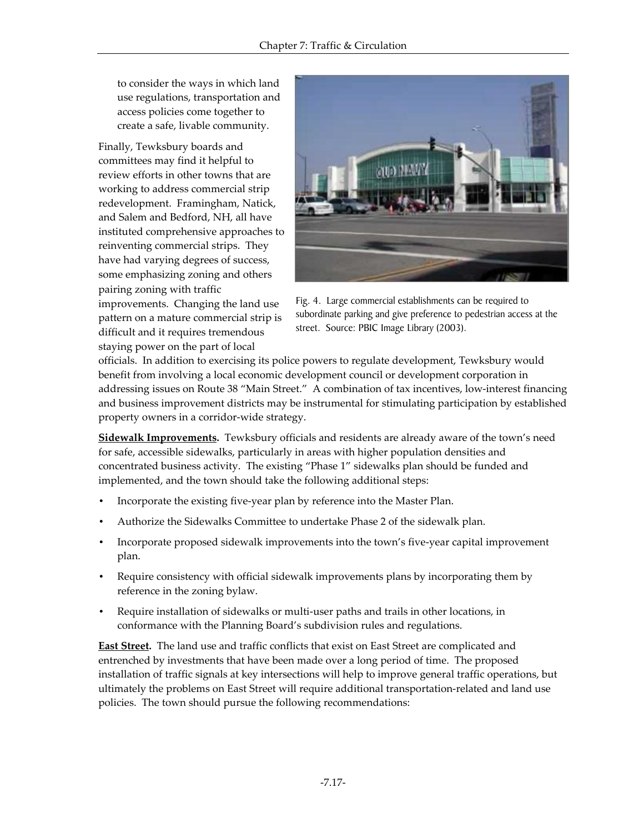to consider the ways in which land use regulations, transportation and access policies come together to create a safe, livable community.

Finally, Tewksbury boards and committees may find it helpful to review efforts in other towns that are working to address commercial strip redevelopment. Framingham, Natick, and Salem and Bedford, NH, all have instituted comprehensive approaches to reinventing commercial strips. They have had varying degrees of success, some emphasizing zoning and others pairing zoning with traffic

improvements. Changing the land use pattern on a mature commercial strip is difficult and it requires tremendous staying power on the part of local



Fig. 4. Large commercial establishments can be required to subordinate parking and give preference to pedestrian access at the street. Source: PBIC Image Library (2003).

officials. In addition to exercising its police powers to regulate development, Tewksbury would benefit from involving a local economic development council or development corporation in addressing issues on Route 38 "Main Street." A combination of tax incentives, low-interest financing and business improvement districts may be instrumental for stimulating participation by established property owners in a corridor-wide strategy.

**Sidewalk Improvements.** Tewksbury officials and residents are already aware of the town's need for safe, accessible sidewalks, particularly in areas with higher population densities and concentrated business activity. The existing "Phase 1" sidewalks plan should be funded and implemented, and the town should take the following additional steps:

- Incorporate the existing five-year plan by reference into the Master Plan.
- Authorize the Sidewalks Committee to undertake Phase 2 of the sidewalk plan.
- Incorporate proposed sidewalk improvements into the town's five-year capital improvement plan.
- Require consistency with official sidewalk improvements plans by incorporating them by reference in the zoning bylaw.
- Require installation of sidewalks or multi-user paths and trails in other locations, in conformance with the Planning Board's subdivision rules and regulations.

**East Street.** The land use and traffic conflicts that exist on East Street are complicated and entrenched by investments that have been made over a long period of time. The proposed installation of traffic signals at key intersections will help to improve general traffic operations, but ultimately the problems on East Street will require additional transportation-related and land use policies. The town should pursue the following recommendations: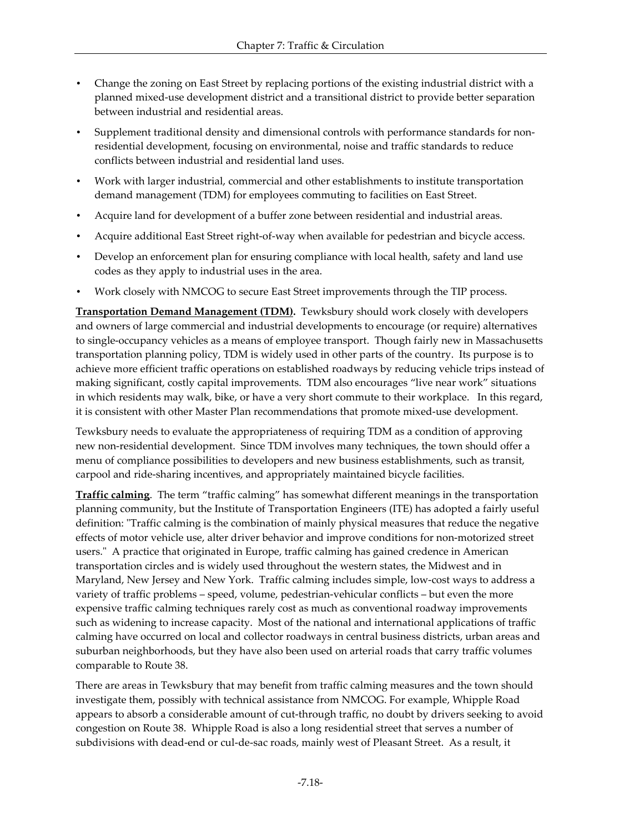- Change the zoning on East Street by replacing portions of the existing industrial district with a planned mixed-use development district and a transitional district to provide better separation between industrial and residential areas.
- Supplement traditional density and dimensional controls with performance standards for nonresidential development, focusing on environmental, noise and traffic standards to reduce conflicts between industrial and residential land uses.
- Work with larger industrial, commercial and other establishments to institute transportation demand management (TDM) for employees commuting to facilities on East Street.
- Acquire land for development of a buffer zone between residential and industrial areas.
- Acquire additional East Street right-of-way when available for pedestrian and bicycle access.
- Develop an enforcement plan for ensuring compliance with local health, safety and land use codes as they apply to industrial uses in the area.
- Work closely with NMCOG to secure East Street improvements through the TIP process.

**Transportation Demand Management (TDM).** Tewksbury should work closely with developers and owners of large commercial and industrial developments to encourage (or require) alternatives to single-occupancy vehicles as a means of employee transport. Though fairly new in Massachusetts transportation planning policy, TDM is widely used in other parts of the country. Its purpose is to achieve more efficient traffic operations on established roadways by reducing vehicle trips instead of making significant, costly capital improvements. TDM also encourages "live near work" situations in which residents may walk, bike, or have a very short commute to their workplace. In this regard, it is consistent with other Master Plan recommendations that promote mixed-use development.

Tewksbury needs to evaluate the appropriateness of requiring TDM as a condition of approving new non-residential development. Since TDM involves many techniques, the town should offer a menu of compliance possibilities to developers and new business establishments, such as transit, carpool and ride-sharing incentives, and appropriately maintained bicycle facilities.

**Traffic calming**. The term "traffic calming" has somewhat different meanings in the transportation planning community, but the Institute of Transportation Engineers (ITE) has adopted a fairly useful definition: "Traffic calming is the combination of mainly physical measures that reduce the negative effects of motor vehicle use, alter driver behavior and improve conditions for non-motorized street users." A practice that originated in Europe, traffic calming has gained credence in American transportation circles and is widely used throughout the western states, the Midwest and in Maryland, New Jersey and New York. Traffic calming includes simple, low-cost ways to address a variety of traffic problems – speed, volume, pedestrian-vehicular conflicts – but even the more expensive traffic calming techniques rarely cost as much as conventional roadway improvements such as widening to increase capacity. Most of the national and international applications of traffic calming have occurred on local and collector roadways in central business districts, urban areas and suburban neighborhoods, but they have also been used on arterial roads that carry traffic volumes comparable to Route 38.

There are areas in Tewksbury that may benefit from traffic calming measures and the town should investigate them, possibly with technical assistance from NMCOG. For example, Whipple Road appears to absorb a considerable amount of cut-through traffic, no doubt by drivers seeking to avoid congestion on Route 38. Whipple Road is also a long residential street that serves a number of subdivisions with dead-end or cul-de-sac roads, mainly west of Pleasant Street. As a result, it